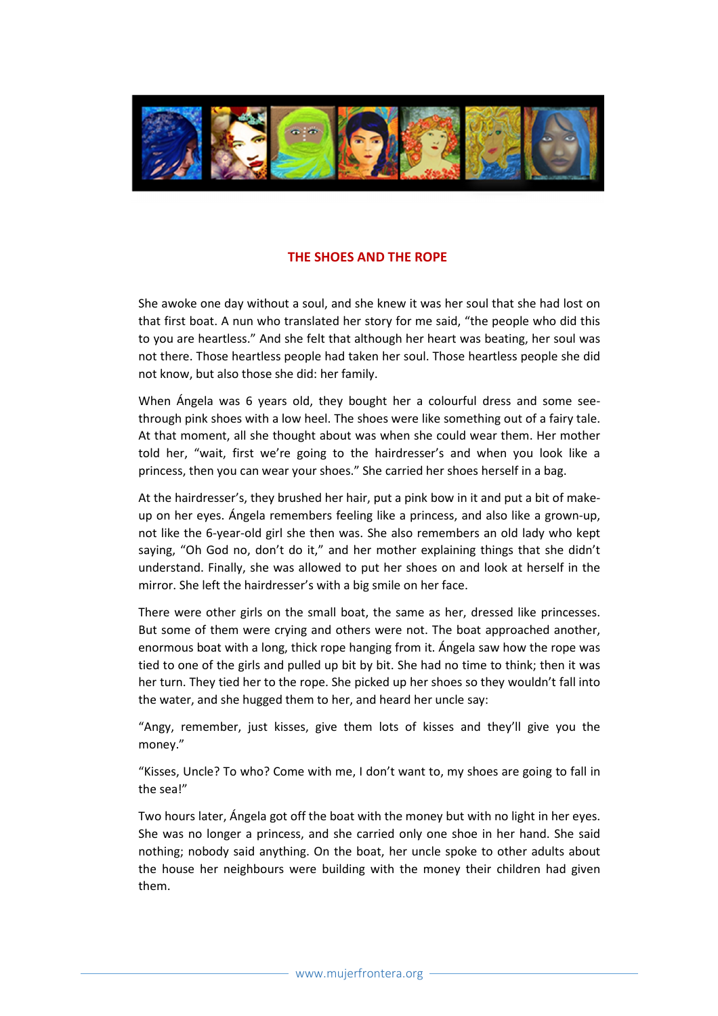

## THE SHOES AND THE ROPE

She awoke one day without a soul, and she knew it was her soul that she had lost on that first boat. A nun who translated her story for me said, "the people who did this to you are heartless." And she felt that although her heart was beating, her soul was not there. Those heartless people had taken her soul. Those heartless people she did not know, but also those she did: her family.

When Ángela was 6 years old, they bought her a colourful dress and some seethrough pink shoes with a low heel. The shoes were like something out of a fairy tale. At that moment, all she thought about was when she could wear them. Her mother told her, "wait, first we're going to the hairdresser's and when you look like a princess, then you can wear your shoes." She carried her shoes herself in a bag.

At the hairdresser's, they brushed her hair, put a pink bow in it and put a bit of makeup on her eyes. Ángela remembers feeling like a princess, and also like a grown-up, not like the 6-year-old girl she then was. She also remembers an old lady who kept saying, "Oh God no, don't do it," and her mother explaining things that she didn't understand. Finally, she was allowed to put her shoes on and look at herself in the mirror. She left the hairdresser's with a big smile on her face.

There were other girls on the small boat, the same as her, dressed like princesses. But some of them were crying and others were not. The boat approached another, enormous boat with a long, thick rope hanging from it. Ángela saw how the rope was tied to one of the girls and pulled up bit by bit. She had no time to think; then it was her turn. They tied her to the rope. She picked up her shoes so they wouldn't fall into the water, and she hugged them to her, and heard her uncle say:

"Angy, remember, just kisses, give them lots of kisses and they'll give you the money."

"Kisses, Uncle? To who? Come with me, I don't want to, my shoes are going to fall in the sea!"

Two hours later, Ángela got off the boat with the money but with no light in her eyes. She was no longer a princess, and she carried only one shoe in her hand. She said nothing; nobody said anything. On the boat, her uncle spoke to other adults about the house her neighbours were building with the money their children had given them.